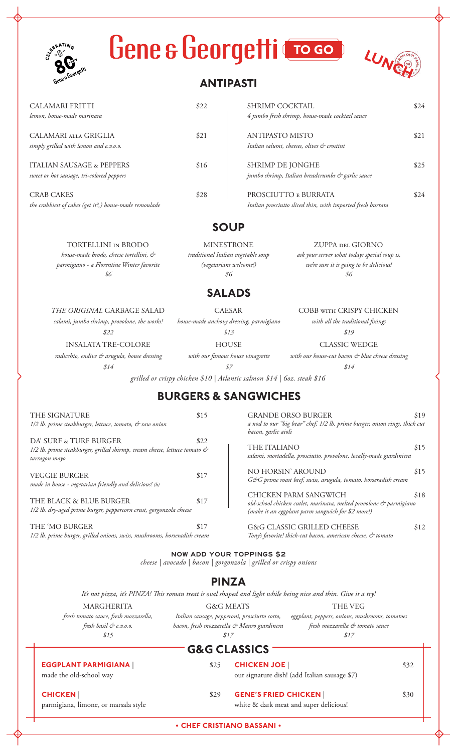| Gene & Georgetti Croso<br><b>ELBRATING</b><br>Gene s George                                                              | <b>ANTIPASTI</b>                                                                         |                                                                    | LUNI                                                                                                                      |      |
|--------------------------------------------------------------------------------------------------------------------------|------------------------------------------------------------------------------------------|--------------------------------------------------------------------|---------------------------------------------------------------------------------------------------------------------------|------|
| <b>CALAMARI FRITTI</b><br>lemon, house-made marinara                                                                     | \$22                                                                                     | SHRIMP COCKTAIL<br>4 jumbo fresh shrimp, house-made cocktail sauce |                                                                                                                           | \$24 |
| CALAMARI ALLA GRIGLIA<br>simply grilled with lemon and e.v.o.o.                                                          | \$21                                                                                     | <b>ANTIPASTO MISTO</b>                                             | Italian salumi, cheeses, olives & crostini                                                                                | \$21 |
| <b>ITALIAN SAUSAGE &amp; PEPPERS</b><br>sweet or hot sausage, tri-colored peppers                                        | \$16                                                                                     | SHRIMP DE JONGHE                                                   | jumbo shrimp, Italian breadcrumbs & garlic sauce                                                                          | \$25 |
| <b>CRAB CAKES</b><br>the crabbiest of cakes (get it?,) house-made remoulade                                              | \$28                                                                                     |                                                                    | PROSCIUTTO E BURRATA<br>Italian prosciutto sliced thin, with imported fresh burrata                                       | \$24 |
|                                                                                                                          | <b>SOUP</b>                                                                              |                                                                    |                                                                                                                           |      |
| <b>TORTELLINI IN BRODO</b><br>house-made brodo, cheese tortellini, &<br>parmigiano - a Florentine Winter favorite<br>\$6 | <b>MINESTRONE</b><br>traditional Italian vegetable soup<br>(vegetarians welcome!)<br>\$6 |                                                                    | <b>ZUPPA DEL GIORNO</b><br>ask your server what todays special soup is,<br>we're sure it is going to be delicious!<br>\$6 |      |
|                                                                                                                          |                                                                                          | <b>SALADS</b>                                                      |                                                                                                                           |      |
| THE ORIGINAL GARBAGE SALAD<br>salami, jumbo shrimp, provolone, the works!<br>\$22                                        | <b>CAESAR</b>                                                                            | house-made anchovy dressing, parmigiano<br>\$13                    | COBB WITH CRISPY CHICKEN<br>with all the traditional fixings<br>\$19                                                      |      |

**HOUSE** *with our famous house vinagrette*

*radicchio, endive & arugula, house dressing \$14*

INSALATA TRE-COLORE

*\$7 grilled or crispy chicken \$10 | Atlantic salmon \$14 | 6oz. steak \$16*

## **BURGERS & SANGWICHES**

| 1/2 lb. prime steakburger, lettuce, tomato, & raw onion                                                              |      |
|----------------------------------------------------------------------------------------------------------------------|------|
| DA' SURF & TURF BURGER<br>1/2 lb. prime steakburger, grilled shirmp, cream cheese, lettuce tomato &<br>tarragon mayo | \$22 |
| VEGGIE BURGER<br>made in house - vegetarian friendly and delicious! (h)                                              | \$17 |
| THE BLACK & BLUE BURGER<br>1/2 lb. dry-aged prime burger, peppercorn crust, gorgonzola cheese                        | \$17 |
| THE 'MO BURGER                                                                                                       |      |

THE SIGNATURE \$15

*1/2 lb. prime burger, grilled onions, swiss, mushrooms, horseradish cream*

GRANDE ORSO BURGER \$19 *a nod to our "big bear" chef, 1/2 lb. prime burger, onion rings, thick cut bacon, garlic aioli*

CLASSIC WEDGE *with our house-cut bacon & blue cheese dressing \$14*

THE ITALIANO \$15 *salami, mortadella, prosciutto, provolone, locally-made giardiniera*

NO HORSIN' AROUND \$15 *G&G prime roast beef, swiss, arugula, tomato, horseradish cream*

CHICKEN PARM SANGWICH \$18 *old-school chicken cutlet, marinara, melted provolone & parmigiano (make it an eggplant parm sangwich for \$2 more!)*

G&G CLASSIC GRILLED CHEESE \$12 *Tony's favorite! thick-cut bacon, american cheese, & tomato*

NOW ADD YOUR TOPPINGS \$2 *cheese | avocado | bacon | gorgonzola | grilled or crispy onions*

## **PINZA**

G&G MEATS *It's not pizza, it's PINZA! This roman treat is oval shaped and light while being nice and thin. Give it a try!* 

MARGHERITA *fresh tomato sauce, fresh mozzarella, fresh basil & e.v.o.o. \$15*

*Italian sausage, pepperoni, prosciutto cotto, eggplant, peppers, onions, mushrooms, tomatoes bacon, fresh mozzarella & Mauro giardinera \$17*

*fresh mozzarella & tomato sauce \$17*

THE VEG

## **G&G CLASSICS**

**• CHEF CRISTIANO BASSANI • EGGPLANT PARMIGIANA** | \$25 made the old-school way **CHICKEN** | \$29 parmigiana, limone, or marsala style **CHICKEN JOE** | \$32 our signature dish! (add Italian sausage \$7) **GENE'S FRIED CHICKEN** | \$30 white & dark meat and super delicious!